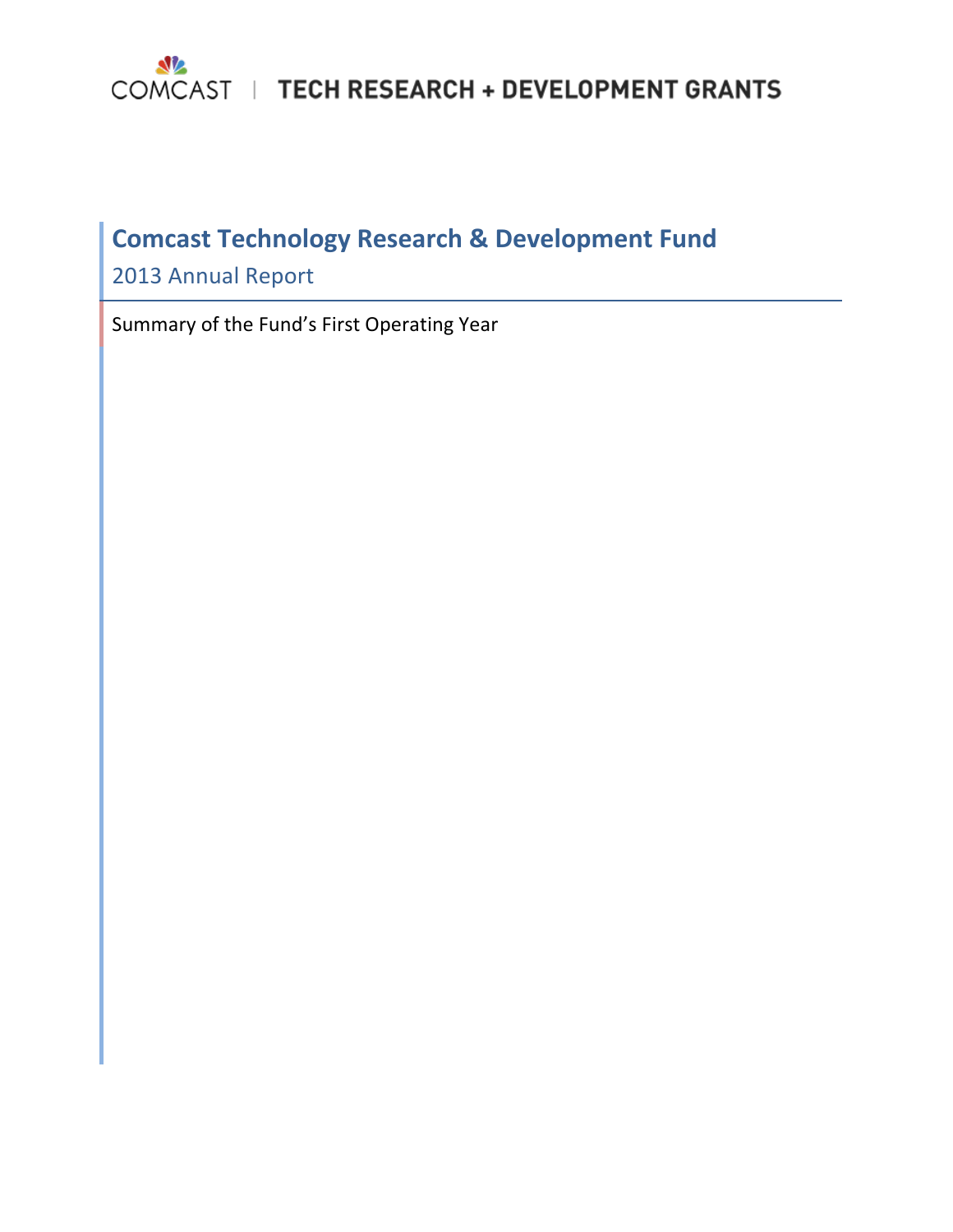

# **Comcast Technology Research & Development Fund**

2013 Annual Report

Summary of the Fund's First Operating Year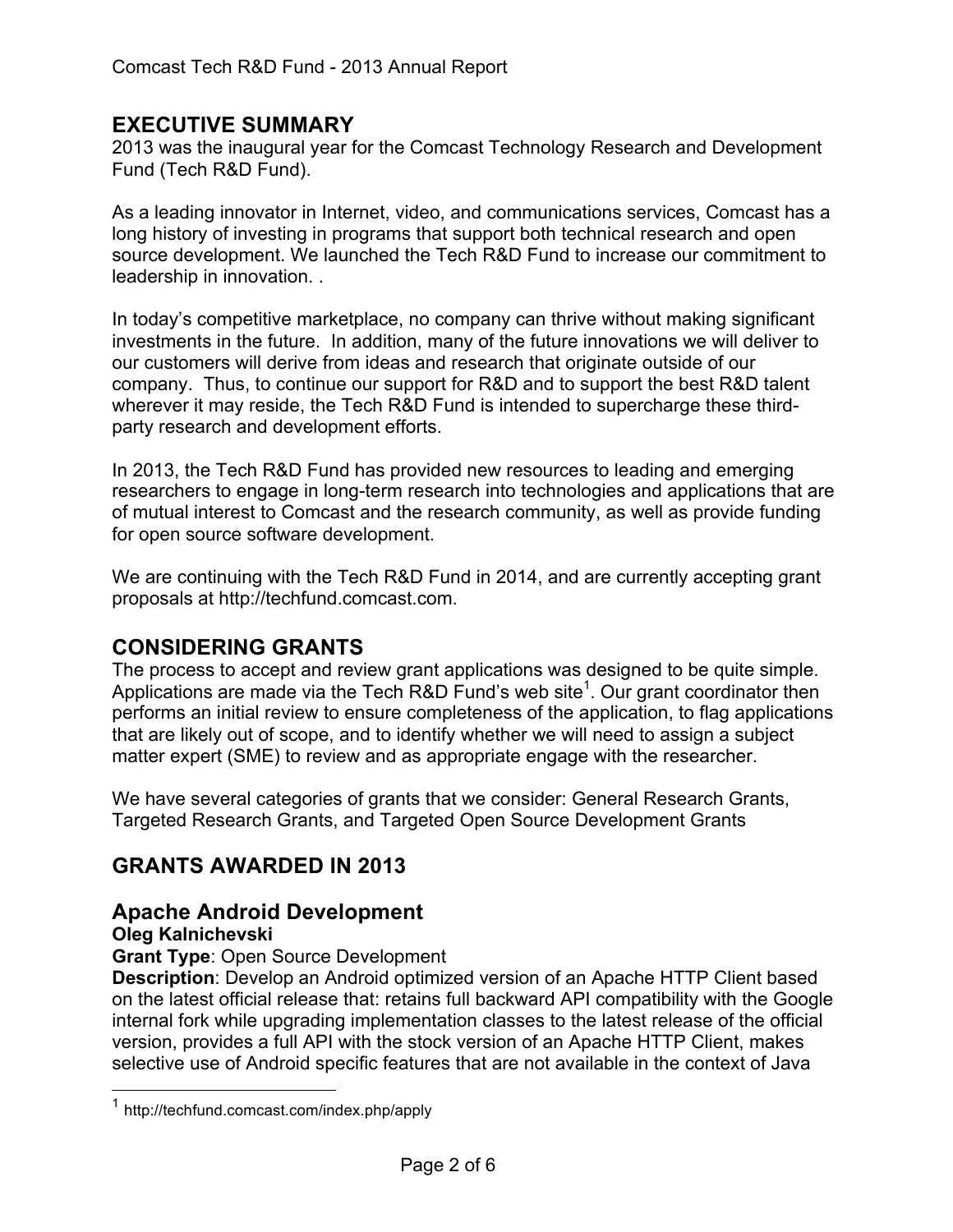## **EXECUTIVE SUMMARY**

2013 was the inaugural year for the Comcast Technology Research and Development Fund (Tech R&D Fund).

As a leading innovator in Internet, video, and communications services, Comcast has a long history of investing in programs that support both technical research and open source development. We launched the Tech R&D Fund to increase our commitment to leadership in innovation. .

In today's competitive marketplace, no company can thrive without making significant investments in the future. In addition, many of the future innovations we will deliver to our customers will derive from ideas and research that originate outside of our company. Thus, to continue our support for R&D and to support the best R&D talent wherever it may reside, the Tech R&D Fund is intended to supercharge these thirdparty research and development efforts.

In 2013, the Tech R&D Fund has provided new resources to leading and emerging researchers to engage in long-term research into technologies and applications that are of mutual interest to Comcast and the research community, as well as provide funding for open source software development.

We are continuing with the Tech R&D Fund in 2014, and are currently accepting grant proposals at http://techfund.comcast.com.

# **CONSIDERING GRANTS**

The process to accept and review grant applications was designed to be quite simple. Applications are made via the Tech R&D Fund's web site<sup>1</sup>. Our grant coordinator then performs an initial review to ensure completeness of the application, to flag applications that are likely out of scope, and to identify whether we will need to assign a subject matter expert (SME) to review and as appropriate engage with the researcher.

We have several categories of grants that we consider: General Research Grants, Targeted Research Grants, and Targeted Open Source Development Grants

# **GRANTS AWARDED IN 2013**

# **Apache Android Development**

#### **Oleg Kalnichevski**

**Grant Type**: Open Source Development

**Description**: Develop an Android optimized version of an Apache HTTP Client based on the latest official release that: retains full backward API compatibility with the Google internal fork while upgrading implementation classes to the latest release of the official version, provides a full API with the stock version of an Apache HTTP Client, makes selective use of Android specific features that are not available in the context of Java

 <sup>1</sup> http://techfund.comcast.com/index.php/apply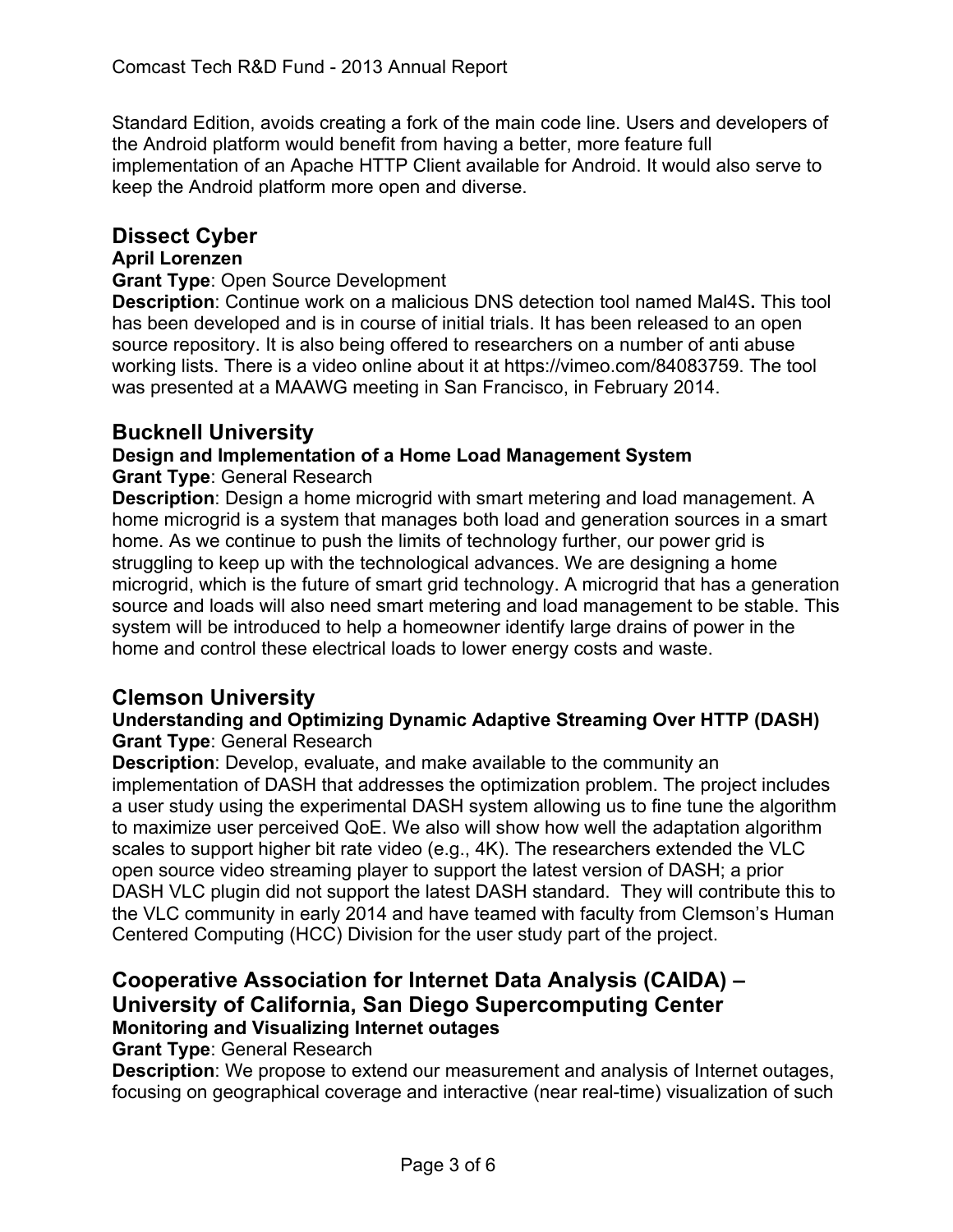Standard Edition, avoids creating a fork of the main code line. Users and developers of the Android platform would benefit from having a better, more feature full implementation of an Apache HTTP Client available for Android. It would also serve to keep the Android platform more open and diverse.

# **Dissect Cyber**

## **April Lorenzen**

#### **Grant Type**: Open Source Development

**Description**: Continue work on a malicious DNS detection tool named Mal4S**.** This tool has been developed and is in course of initial trials. It has been released to an open source repository. It is also being offered to researchers on a number of anti abuse working lists. There is a video online about it at https://vimeo.com/84083759. The tool was presented at a MAAWG meeting in San Francisco, in February 2014.

## **Bucknell University**

# **Design and Implementation of a Home Load Management System**

**Grant Type**: General Research

**Description**: Design a home microgrid with smart metering and load management. A home microgrid is a system that manages both load and generation sources in a smart home. As we continue to push the limits of technology further, our power grid is struggling to keep up with the technological advances. We are designing a home microgrid, which is the future of smart grid technology. A microgrid that has a generation source and loads will also need smart metering and load management to be stable. This system will be introduced to help a homeowner identify large drains of power in the home and control these electrical loads to lower energy costs and waste.

## **Clemson University**

#### **Understanding and Optimizing Dynamic Adaptive Streaming Over HTTP (DASH) Grant Type**: General Research

**Description**: Develop, evaluate, and make available to the community an implementation of DASH that addresses the optimization problem. The project includes a user study using the experimental DASH system allowing us to fine tune the algorithm to maximize user perceived QoE. We also will show how well the adaptation algorithm scales to support higher bit rate video (e.g., 4K). The researchers extended the VLC open source video streaming player to support the latest version of DASH; a prior DASH VLC plugin did not support the latest DASH standard. They will contribute this to the VLC community in early 2014 and have teamed with faculty from Clemson's Human Centered Computing (HCC) Division for the user study part of the project.

# **Cooperative Association for Internet Data Analysis (CAIDA) – University of California, San Diego Supercomputing Center Monitoring and Visualizing Internet outages**

**Grant Type**: General Research

**Description**: We propose to extend our measurement and analysis of Internet outages, focusing on geographical coverage and interactive (near real-time) visualization of such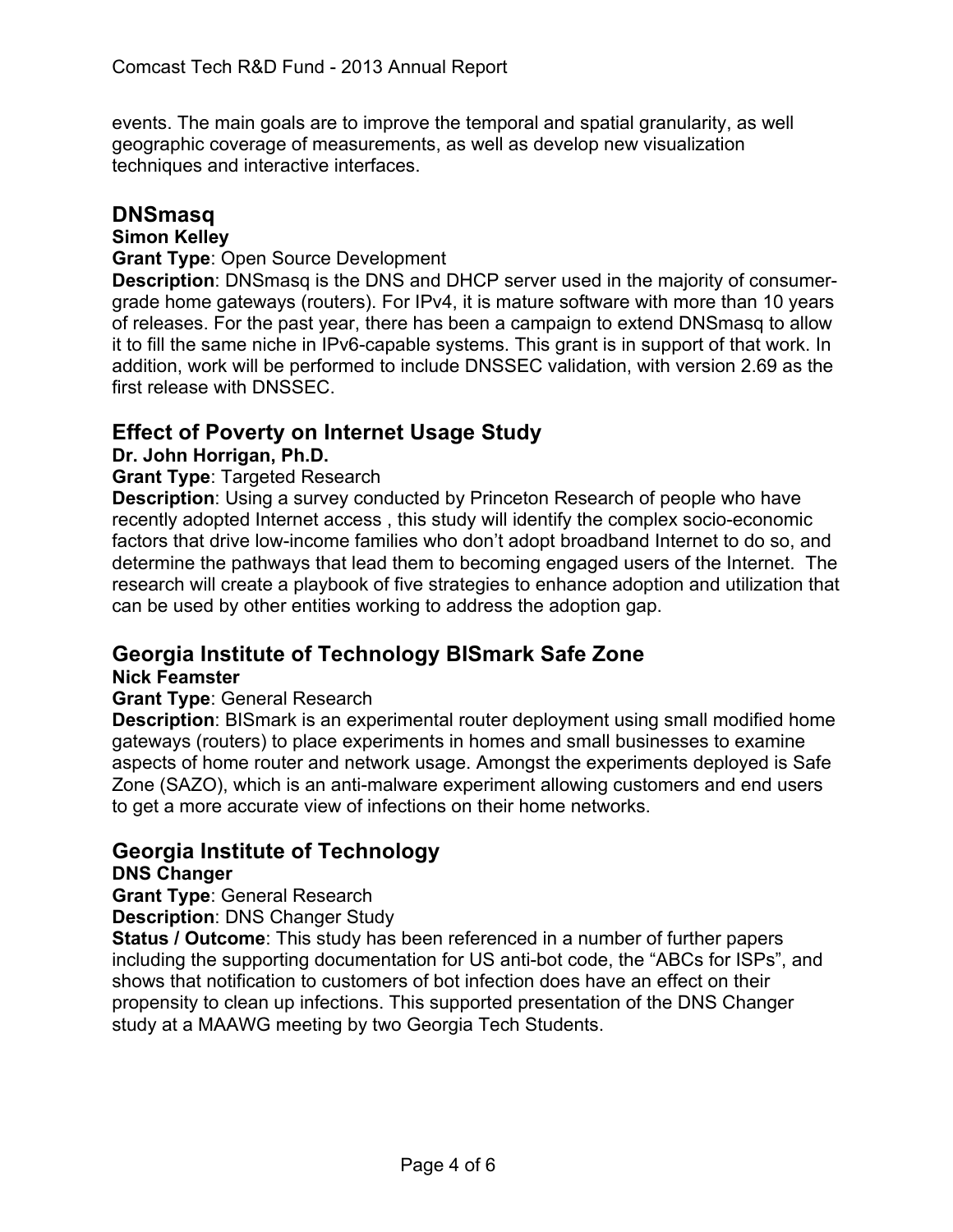events. The main goals are to improve the temporal and spatial granularity, as well geographic coverage of measurements, as well as develop new visualization techniques and interactive interfaces.

## **DNSmasq**

## **Simon Kelley**

#### **Grant Type**: Open Source Development

**Description**: DNSmasq is the DNS and DHCP server used in the majority of consumergrade home gateways (routers). For IPv4, it is mature software with more than 10 years of releases. For the past year, there has been a campaign to extend DNSmasq to allow it to fill the same niche in IPv6-capable systems. This grant is in support of that work. In addition, work will be performed to include DNSSEC validation, with version 2.69 as the first release with DNSSEC.

# **Effect of Poverty on Internet Usage Study**

## **Dr. John Horrigan, Ph.D.**

## **Grant Type**: Targeted Research

**Description**: Using a survey conducted by Princeton Research of people who have recently adopted Internet access , this study will identify the complex socio-economic factors that drive low-income families who don't adopt broadband Internet to do so, and determine the pathways that lead them to becoming engaged users of the Internet. The research will create a playbook of five strategies to enhance adoption and utilization that can be used by other entities working to address the adoption gap.

# **Georgia Institute of Technology BISmark Safe Zone**

## **Nick Feamster**

## **Grant Type**: General Research

**Description**: BISmark is an experimental router deployment using small modified home gateways (routers) to place experiments in homes and small businesses to examine aspects of home router and network usage. Amongst the experiments deployed is Safe Zone (SAZO), which is an anti-malware experiment allowing customers and end users to get a more accurate view of infections on their home networks.

# **Georgia Institute of Technology**

## **DNS Changer**

**Grant Type**: General Research

**Description**: DNS Changer Study

**Status / Outcome**: This study has been referenced in a number of further papers including the supporting documentation for US anti-bot code, the "ABCs for ISPs", and shows that notification to customers of bot infection does have an effect on their propensity to clean up infections. This supported presentation of the DNS Changer study at a MAAWG meeting by two Georgia Tech Students.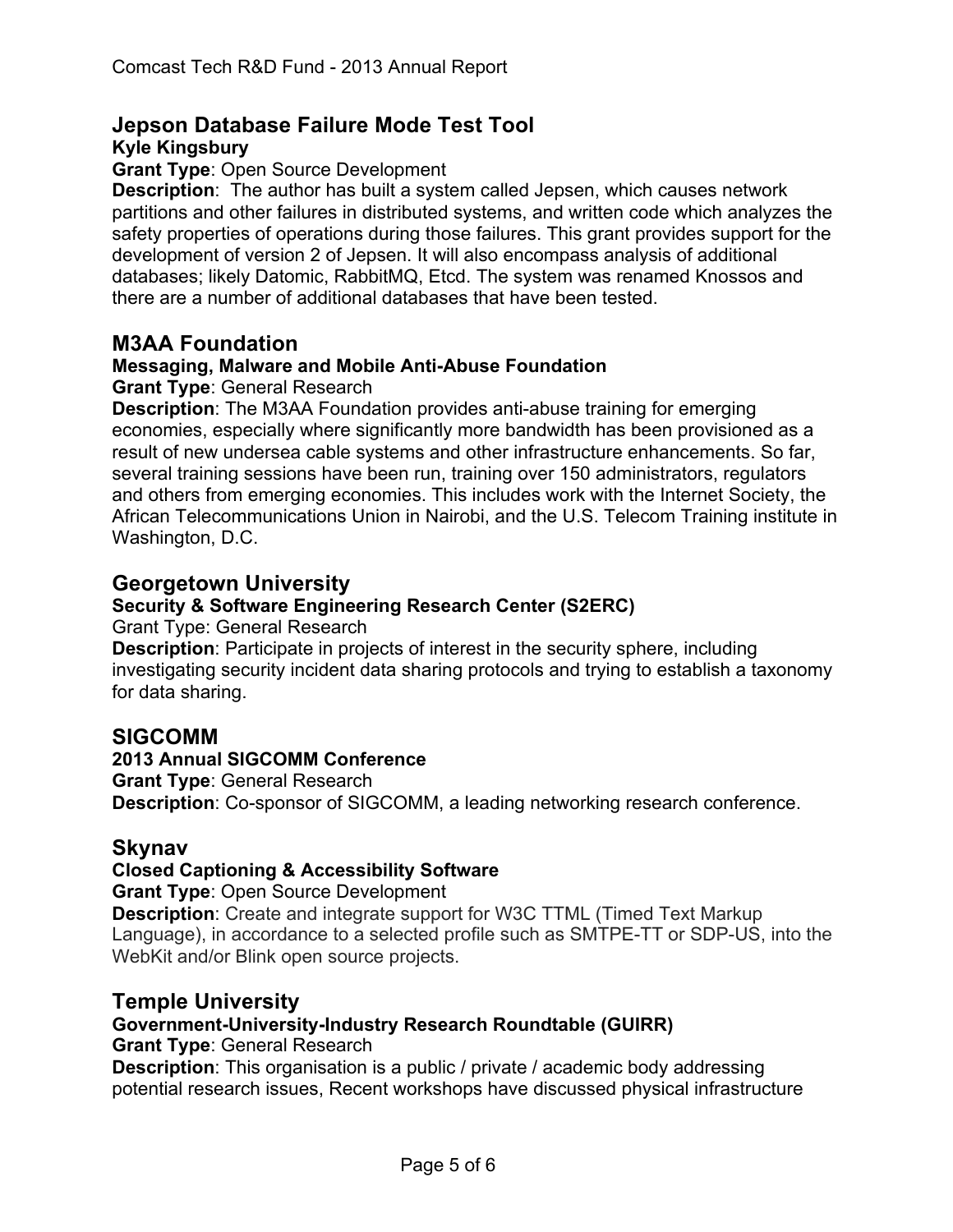#### **Jepson Database Failure Mode Test Tool Kyle Kingsbury**

#### **Grant Type**: Open Source Development

**Description**: The author has built a system called Jepsen, which causes network partitions and other failures in distributed systems, and written code which analyzes the safety properties of operations during those failures. This grant provides support for the development of version 2 of Jepsen. It will also encompass analysis of additional databases; likely Datomic, RabbitMQ, Etcd. The system was renamed Knossos and there are a number of additional databases that have been tested.

## **M3AA Foundation**

## **Messaging, Malware and Mobile Anti-Abuse Foundation**

#### **Grant Type**: General Research

**Description**: The M3AA Foundation provides anti-abuse training for emerging economies, especially where significantly more bandwidth has been provisioned as a result of new undersea cable systems and other infrastructure enhancements. So far, several training sessions have been run, training over 150 administrators, regulators and others from emerging economies. This includes work with the Internet Society, the African Telecommunications Union in Nairobi, and the U.S. Telecom Training institute in Washington, D.C.

## **Georgetown University**

## **Security & Software Engineering Research Center (S2ERC)**

Grant Type: General Research

**Description**: Participate in projects of interest in the security sphere, including investigating security incident data sharing protocols and trying to establish a taxonomy for data sharing.

## **SIGCOMM**

#### **2013 Annual SIGCOMM Conference**

**Grant Type**: General Research **Description**: Co-sponsor of SIGCOMM, a leading networking research conference.

## **Skynav**

## **Closed Captioning & Accessibility Software**

**Grant Type**: Open Source Development

**Description**: Create and integrate support for W3C TTML (Timed Text Markup Language), in accordance to a selected profile such as SMTPE-TT or SDP-US, into the WebKit and/or Blink open source projects.

## **Temple University**

## **Government-University-Industry Research Roundtable (GUIRR)**

**Grant Type**: General Research

**Description**: This organisation is a public / private / academic body addressing potential research issues, Recent workshops have discussed physical infrastructure